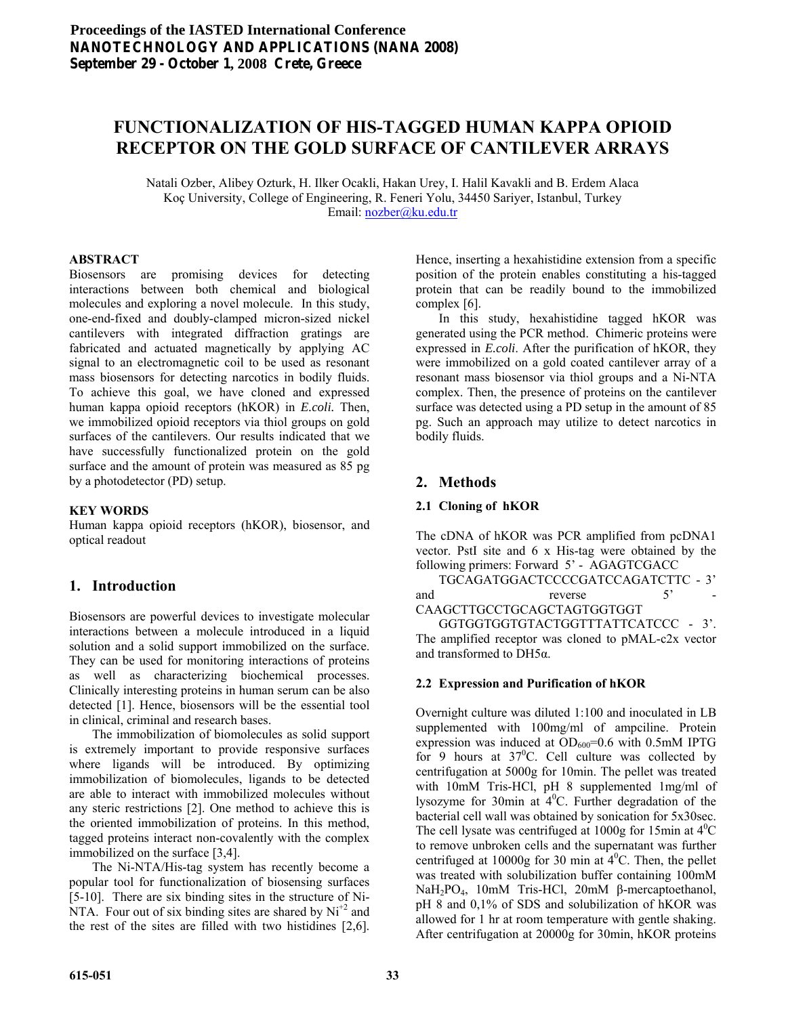# **FUNCTIONALIZATION OF HIS-TAGGED HUMAN KAPPA OPIOID RECEPTOR ON THE GOLD SURFACE OF CANTILEVER ARRAYS**

Natali Ozber, Alibey Ozturk, H. Ilker Ocakli, Hakan Urey, I. Halil Kavakli and B. Erdem Alaca Koç University, College of Engineering, R. Feneri Yolu, 34450 Sariyer, Istanbul, Turkey Email: [nozber@ku.edu.tr](mailto:nozber@ku.edu.tr) 

### **ABSTRACT**

Biosensors are promising devices for detecting interactions between both chemical and biological molecules and exploring a novel molecule. In this study, one-end-fixed and doubly-clamped micron-sized nickel cantilevers with integrated diffraction gratings are fabricated and actuated magnetically by applying AC signal to an electromagnetic coil to be used as resonant mass biosensors for detecting narcotics in bodily fluids. To achieve this goal, we have cloned and expressed human kappa opioid receptors (hKOR) in *E.coli.* Then, we immobilized opioid receptors via thiol groups on gold surfaces of the cantilevers. Our results indicated that we have successfully functionalized protein on the gold surface and the amount of protein was measured as 85 pg by a photodetector (PD) setup.

### **KEY WORDS**

Human kappa opioid receptors (hKOR), biosensor, and optical readout

## **1. Introduction**

Biosensors are powerful devices to investigate molecular interactions between a molecule introduced in a liquid solution and a solid support immobilized on the surface. They can be used for monitoring interactions of proteins as well as characterizing biochemical processes. Clinically interesting proteins in human serum can be also detected [1]. Hence, biosensors will be the essential tool in clinical, criminal and research bases.

 The immobilization of biomolecules as solid support is extremely important to provide responsive surfaces where ligands will be introduced. By optimizing immobilization of biomolecules, ligands to be detected are able to interact with immobilized molecules without any steric restrictions [2]. One method to achieve this is the oriented immobilization of proteins. In this method, tagged proteins interact non-covalently with the complex immobilized on the surface [3,4].

 The Ni-NTA/His-tag system has recently become a popular tool for functionalization of biosensing surfaces [5-10]. There are six binding sites in the structure of Ni-NTA. Four out of six binding sites are shared by  $Ni^{+2}$  and the rest of the sites are filled with two histidines [2,6].

Hence, inserting a hexahistidine extension from a specific position of the protein enables constituting a his-tagged protein that can be readily bound to the immobilized complex [6].

 In this study, hexahistidine tagged hKOR was generated using the PCR method. Chimeric proteins were expressed in *E.coli*. After the purification of hKOR, they were immobilized on a gold coated cantilever array of a resonant mass biosensor via thiol groups and a Ni-NTA complex. Then, the presence of proteins on the cantilever surface was detected using a PD setup in the amount of 85 pg. Such an approach may utilize to detect narcotics in bodily fluids.

## **2. Methods**

### **2.1 Cloning of hKOR**

The cDNA of hKOR was PCR amplified from pcDNA1 vector. PstI site and 6 x His-tag were obtained by the following primers: Forward 5' - AGAGTCGACC

 TGCAGATGGACTCCCCGATCCAGATCTTC - 3' and reverse 5' -

CAAGCTTGCCTGCAGCTAGTGGTGGT GGTGGTGGTGTACTGGTTTATTCATCCC - 3'. The amplified receptor was cloned to pMAL-c2x vector and transformed to DH5α.

### **2.2 Expression and Purification of hKOR**

Overnight culture was diluted 1:100 and inoculated in LB supplemented with 100mg/ml of ampciline. Protein expression was induced at  $OD_{600} = 0.6$  with 0.5mM IPTG for 9 hours at  $37^{\circ}$ C. Cell culture was collected by centrifugation at 5000g for 10min. The pellet was treated with 10mM Tris-HCl, pH 8 supplemented 1mg/ml of lysozyme for 30 $\text{min}$  at  $4^0$ C. Further degradation of the bacterial cell wall was obtained by sonication for 5x30sec. The cell lysate was centrifuged at 1000g for 15min at  $4^0C$ to remove unbroken cells and the supernatant was further centrifuged at 10000g for 30 min at  $4^{\circ}$ C. Then, the pellet was treated with solubilization buffer containing 100mM NaH2PO4, 10mM Tris-HCl, 20mM β-mercaptoethanol, pH 8 and 0,1% of SDS and solubilization of hKOR was allowed for 1 hr at room temperature with gentle shaking. After centrifugation at 20000g for 30min, hKOR proteins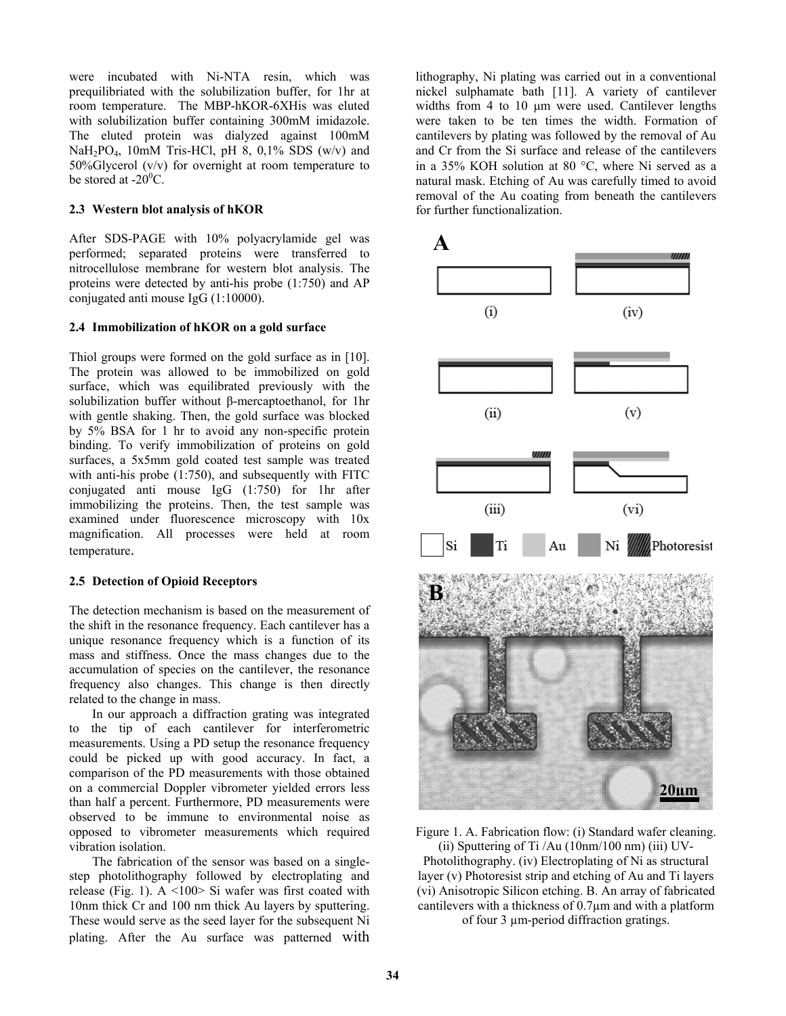were incubated with Ni-NTA resin, which was prequilibriated with the solubilization buffer, for 1hr at room temperature. The MBP-hKOR-6XHis was eluted with solubilization buffer containing 300mM imidazole. The eluted protein was dialyzed against 100mM NaH<sub>2</sub>PO<sub>4</sub>, 10mM Tris-HCl, pH 8, 0,1% SDS (w/v) and 50%Glycerol (v/v) for overnight at room temperature to be stored at  $-20^0C$ .

#### **2.3 Western blot analysis of hKOR**

After SDS-PAGE with 10% polyacrylamide gel was performed; separated proteins were transferred to nitrocellulose membrane for western blot analysis. The proteins were detected by anti-his probe (1:750) and AP conjugated anti mouse IgG (1:10000).

### **2.4 Immobilization of hKOR on a gold surface**

Thiol groups were formed on the gold surface as in [10]. The protein was allowed to be immobilized on gold surface, which was equilibrated previously with the solubilization buffer without β-mercaptoethanol, for 1hr with gentle shaking. Then, the gold surface was blocked by 5% BSA for 1 hr to avoid any non-specific protein binding. To verify immobilization of proteins on gold surfaces, a 5x5mm gold coated test sample was treated with anti-his probe (1:750), and subsequently with FITC conjugated anti mouse IgG (1:750) for 1hr after immobilizing the proteins. Then, the test sample was examined under fluorescence microscopy with 10x magnification. All processes were held at room temperature.

### **2.5 Detection of Opioid Receptors**

The detection mechanism is based on the measurement of the shift in the resonance frequency. Each cantilever has a unique resonance frequency which is a function of its mass and stiffness. Once the mass changes due to the accumulation of species on the cantilever, the resonance frequency also changes. This change is then directly related to the change in mass.

 In our approach a diffraction grating was integrated to the tip of each cantilever for interferometric measurements. Using a PD setup the resonance frequency could be picked up with good accuracy. In fact, a comparison of the PD measurements with those obtained on a commercial Doppler vibrometer yielded errors less than half a percent. Furthermore, PD measurements were observed to be immune to environmental noise as opposed to vibrometer measurements which required vibration isolation.

 The fabrication of the sensor was based on a singlestep photolithography followed by electroplating and release (Fig. 1).  $A \le 100$  Si wafer was first coated with 10nm thick Cr and 100 nm thick Au layers by sputtering. These would serve as the seed layer for the subsequent Ni plating. After the Au surface was patterned with lithography, Ni plating was carried out in a conventional nickel sulphamate bath [11]. A variety of cantilever widths from 4 to 10 μm were used. Cantilever lengths were taken to be ten times the width. Formation of cantilevers by plating was followed by the removal of Au and Cr from the Si surface and release of the cantilevers in a 35% KOH solution at 80 °C, where Ni served as a natural mask. Etching of Au was carefully timed to avoid removal of the Au coating from beneath the cantilevers for further functionalization.



Figure 1. A. Fabrication flow: (i) Standard wafer cleaning.

(ii) Sputtering of Ti /Au (10nm/100 nm) (iii) UV-Photolithography. (iv) Electroplating of Ni as structural layer (v) Photoresist strip and etching of Au and Ti layers (vi) Anisotropic Silicon etching. B. An array of fabricated cantilevers with a thickness of 0.7µm and with a platform of four 3 µm-period diffraction gratings.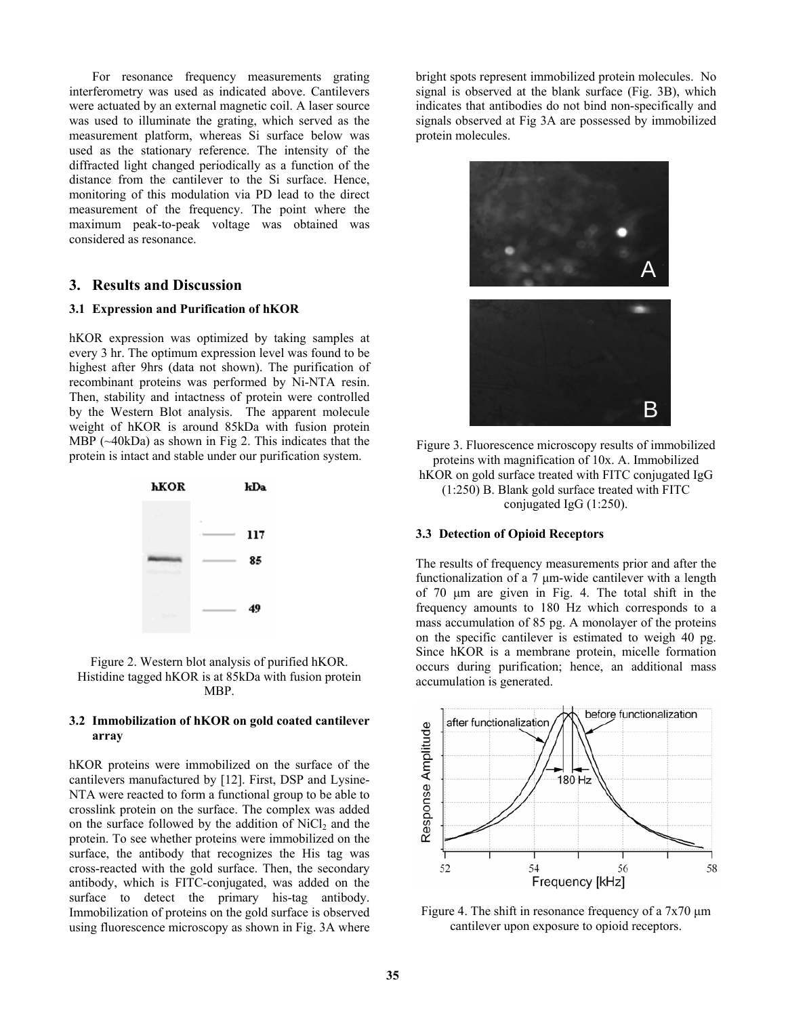For resonance frequency measurements grating interferometry was used as indicated above. Cantilevers were actuated by an external magnetic coil. A laser source was used to illuminate the grating, which served as the measurement platform, whereas Si surface below was used as the stationary reference. The intensity of the diffracted light changed periodically as a function of the distance from the cantilever to the Si surface. Hence, monitoring of this modulation via PD lead to the direct measurement of the frequency. The point where the maximum peak-to-peak voltage was obtained was considered as resonance.

## **3. Results and Discussion**

#### **3.1 Expression and Purification of hKOR**

hKOR expression was optimized by taking samples at every 3 hr. The optimum expression level was found to be highest after 9hrs (data not shown). The purification of recombinant proteins was performed by Ni-NTA resin. Then, stability and intactness of protein were controlled by the Western Blot analysis. The apparent molecule weight of hKOR is around 85kDa with fusion protein MBP (~40kDa) as shown in Fig 2. This indicates that the protein is intact and stable under our purification system.



Figure 2. Western blot analysis of purified hKOR. Histidine tagged hKOR is at 85kDa with fusion protein MBP.

#### **3.2 Immobilization of hKOR on gold coated cantilever array**

hKOR proteins were immobilized on the surface of the cantilevers manufactured by [12]. First, DSP and Lysine-NTA were reacted to form a functional group to be able to crosslink protein on the surface. The complex was added on the surface followed by the addition of  $NiCl<sub>2</sub>$  and the protein. To see whether proteins were immobilized on the surface, the antibody that recognizes the His tag was cross-reacted with the gold surface. Then, the secondary antibody, which is FITC-conjugated, was added on the surface to detect the primary his-tag antibody. Immobilization of proteins on the gold surface is observed using fluorescence microscopy as shown in Fig. 3A where

bright spots represent immobilized protein molecules. No signal is observed at the blank surface (Fig. 3B), which indicates that antibodies do not bind non-specifically and signals observed at Fig 3A are possessed by immobilized protein molecules.



Figure 3. Fluorescence microscopy results of immobilized proteins with magnification of 10x. A. Immobilized hKOR on gold surface treated with FITC conjugated IgG (1:250) B. Blank gold surface treated with FITC conjugated IgG (1:250).

#### **3.3 Detection of Opioid Receptors**

The results of frequency measurements prior and after the functionalization of a 7 μm-wide cantilever with a length of 70 μm are given in Fig. 4. The total shift in the frequency amounts to 180 Hz which corresponds to a mass accumulation of 85 pg. A monolayer of the proteins on the specific cantilever is estimated to weigh 40 pg. Since hKOR is a membrane protein, micelle formation occurs during purification; hence, an additional mass accumulation is generated.



Figure 4. The shift in resonance frequency of a  $7x70 \mu m$ cantilever upon exposure to opioid receptors.